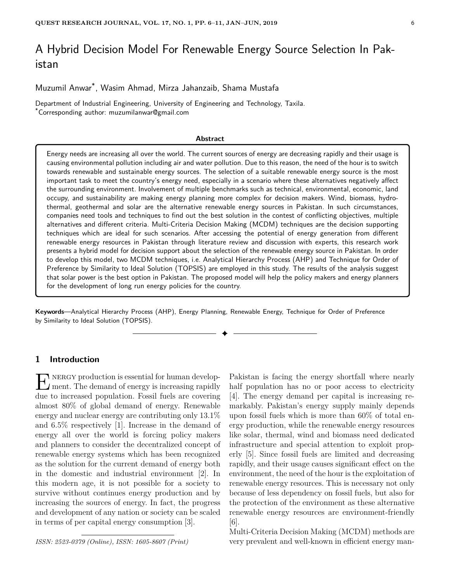# A Hybrid Decision Model For Renewable Energy Source Selection In Pakistan

Muzumil Anwar\* , Wasim Ahmad, Mirza Jahanzaib, Shama Mustafa

Department of Industrial Engineering, University of Engineering and Technology, Taxila. \*Corresponding author: muzumilanwar@gmail.com

#### **Abstract**

Energy needs are increasing all over the world. The current sources of energy are decreasing rapidly and their usage is causing environmental pollution including air and water pollution. Due to this reason, the need of the hour is to switch towards renewable and sustainable energy sources. The selection of a suitable renewable energy source is the most important task to meet the country's energy need, especially in a scenario where these alternatives negatively affect the surrounding environment. Involvement of multiple benchmarks such as technical, environmental, economic, land occupy, and sustainability are making energy planning more complex for decision makers. Wind, biomass, hydrothermal, geothermal and solar are the alternative renewable energy sources in Pakistan. In such circumstances, companies need tools and techniques to find out the best solution in the contest of conflicting objectives, multiple alternatives and different criteria. Multi-Criteria Decision Making (MCDM) techniques are the decision supporting techniques which are ideal for such scenarios. After accessing the potential of energy generation from different renewable energy resources in Pakistan through literature review and discussion with experts, this research work presents a hybrid model for decision support about the selection of the renewable energy source in Pakistan. In order to develop this model, two MCDM techniques, i.e. Analytical Hierarchy Process (AHP) and Technique for Order of Preference by Similarity to Ideal Solution (TOPSIS) are employed in this study. The results of the analysis suggest that solar power is the best option in Pakistan. The proposed model will help the policy makers and energy planners for the development of long run energy policies for the country.

**Keywords**—Analytical Hierarchy Process (AHP), Energy Planning, Renewable Energy, Technique for Order of Preference by Similarity to Ideal Solution (TOPSIS).

✦

# **1 Introduction**

 $\sum_{n=1}^{\infty}$  NERGY production is essential for human develop-<br>ment. The demand of energy is increasing rapidly ment. The demand of energy is increasing rapidly due to increased population. Fossil fuels are covering almost 80% of global demand of energy. Renewable energy and nuclear energy are contributing only 13.1% and 6.5% respectively [1]. Increase in the demand of energy all over the world is forcing policy makers and planners to consider the decentralized concept of renewable energy systems which has been recognized as the solution for the current demand of energy both in the domestic and industrial environment [2]. In this modern age, it is not possible for a society to survive without continues energy production and by increasing the sources of energy. In fact, the progress and development of any nation or society can be scaled in terms of per capital energy consumption [3].

Pakistan is facing the energy shortfall where nearly half population has no or poor access to electricity [4]. The energy demand per capital is increasing remarkably. Pakistan's energy supply mainly depends upon fossil fuels which is more than 60% of total energy production, while the renewable energy resources like solar, thermal, wind and biomass need dedicated infrastructure and special attention to exploit properly [5]. Since fossil fuels are limited and decreasing rapidly, and their usage causes significant effect on the environment, the need of the hour is the exploitation of renewable energy resources. This is necessary not only because of less dependency on fossil fuels, but also for the protection of the environment as these alternative renewable energy resources are environment-friendly [6].

Multi-Criteria Decision Making (MCDM) methods are very prevalent and well-known in efficient energy man-

*ISSN: 2523-0379 (Online), ISSN: 1605-8607 (Print)*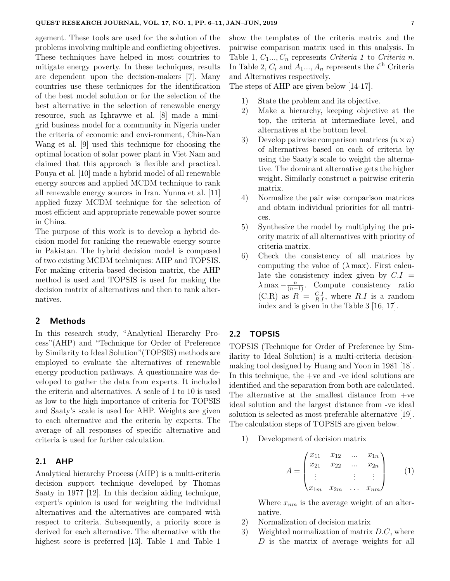agement. These tools are used for the solution of the problems involving multiple and conflicting objectives. These techniques have helped in most countries to mitigate energy poverty. In these techniques, results are dependent upon the decision-makers [7]. Many countries use these techniques for the identification of the best model solution or for the selection of the best alternative in the selection of renewable energy resource, such as Ighravwe et al. [8] made a minigrid business model for a community in Nigeria under the criteria of economic and envi-ronment, Chia-Nan Wang et al. [9] used this technique for choosing the optimal location of solar power plant in Viet Nam and claimed that this approach is flexible and practical. Pouya et al. [10] made a hybrid model of all renewable energy sources and applied MCDM technique to rank all renewable energy sources in Iran. Yunna et al. [11] applied fuzzy MCDM technique for the selection of most efficient and appropriate renewable power source in China.

The purpose of this work is to develop a hybrid decision model for ranking the renewable energy source in Pakistan. The hybrid decision model is composed of two existing MCDM techniques: AHP and TOPSIS. For making criteria-based decision matrix, the AHP method is used and TOPSIS is used for making the decision matrix of alternatives and then to rank alternatives.

### **2 Methods**

In this research study, "Analytical Hierarchy Process"(AHP) and "Technique for Order of Preference by Similarity to Ideal Solution"(TOPSIS) methods are employed to evaluate the alternatives of renewable energy production pathways. A questionnaire was developed to gather the data from experts. It included the criteria and alternatives. A scale of 1 to 10 is used as low to the high importance of criteria for TOPSIS and Saaty's scale is used for AHP. Weights are given to each alternative and the criteria by experts. The average of all responses of specific alternative and criteria is used for further calculation.

## **2.1 AHP**

Analytical hierarchy Process (AHP) is a multi-criteria decision support technique developed by Thomas Saaty in 1977 [12]. In this decision aiding technique, expert's opinion is used for weighting the individual alternatives and the alternatives are compared with respect to criteria. Subsequently, a priority score is derived for each alternative. The alternative with the highest score is preferred [13]. Table 1 and Table 1

show the templates of the criteria matrix and the pairwise comparison matrix used in this analysis. In Table 1,  $C_1 \ldots, C_n$  represents *Criteria 1* to *Criteria n*. In Table 2,  $C_i$  and  $A_1, \ldots, A_n$  represents the *i*<sup>th</sup> Criteria and Alternatives respectively.

The steps of AHP are given below [14-17].

- 1) State the problem and its objective.
- 2) Make a hierarchy, keeping objective at the top, the criteria at intermediate level, and alternatives at the bottom level.
- 3) Develop pairwise comparison matrices  $(n \times n)$ of alternatives based on each of criteria by using the Saaty's scale to weight the alternative. The dominant alternative gets the higher weight. Similarly construct a pairwise criteria matrix.
- 4) Normalize the pair wise comparison matrices and obtain individual priorities for all matrices.
- 5) Synthesize the model by multiplying the priority matrix of all alternatives with priority of criteria matrix.
- 6) Check the consistency of all matrices by computing the value of  $(\lambda \max)$ . First calculate the consistency index given by  $C.I =$  $\lambda$  max  $-\frac{n}{(n-1)}$ . Compute consistency ratio  $(C.R)$  as  $R = \frac{C.I}{R.I}$ , where  $R.I$  is a random index and is given in the Table 3 [16, 17].

## **2.2 TOPSIS**

TOPSIS (Technique for Order of Preference by Similarity to Ideal Solution) is a multi-criteria decisionmaking tool designed by Huang and Yoon in 1981 [18]. In this technique, the +ve and -ve ideal solutions are identified and the separation from both are calculated. The alternative at the smallest distance from +ve ideal solution and the largest distance from -ve ideal solution is selected as most preferable alternative [19]. The calculation steps of TOPSIS are given below.

1) Development of decision matrix

$$
A = \begin{pmatrix} x_{11} & x_{12} & \dots & x_{1n} \\ x_{21} & x_{22} & \dots & x_{2n} \\ \vdots & & \vdots & \vdots \\ x_{1m} & x_{2m} & \dots & x_{nm} \end{pmatrix}
$$
 (1)

Where *xnm* is the average weight of an alternative.

- 2) Normalization of decision matrix
- 3) Weighted normalization of matrix *D.C*, where *D* is the matrix of average weights for all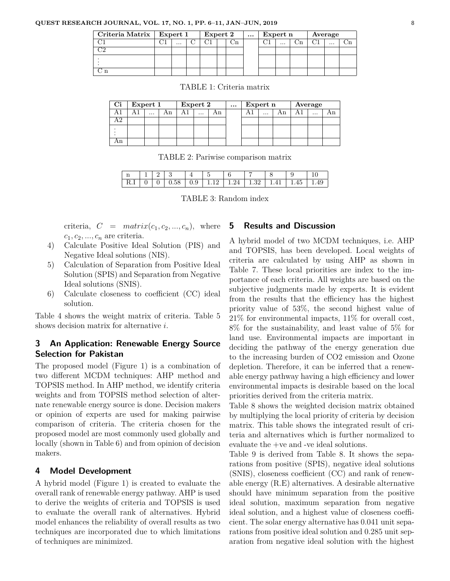### **QUEST RESEARCH JOURNAL, VOL. 17, NO. 1, PP. 6–11, JAN–JUN, 2019** 8

| Criteria Matrix   Expert 1 |  |          | Expert 2 |  | $\cdots$ | Expert n |  |  | Average  |  |  |          |  |
|----------------------------|--|----------|----------|--|----------|----------|--|--|----------|--|--|----------|--|
|                            |  | $\cdots$ |          |  |          |          |  |  | $\cdots$ |  |  | $\cdots$ |  |
| าก                         |  |          |          |  |          |          |  |  |          |  |  |          |  |
|                            |  |          |          |  |          |          |  |  |          |  |  |          |  |
|                            |  |          |          |  |          |          |  |  |          |  |  |          |  |

| Ci | Expert 1 |          |    | Expert 2 |  |    | $\cdots$ | Expert n | Average |          |  |
|----|----------|----------|----|----------|--|----|----------|----------|---------|----------|--|
|    |          | $\cdots$ | Αn |          |  | Αn |          | $\cdots$ |         | $\cdots$ |  |
| ۱2 |          |          |    |          |  |    |          |          |         |          |  |
|    |          |          |    |          |  |    |          |          |         |          |  |
|    |          |          |    |          |  |    |          |          |         |          |  |

TABLE 1: Criteria matrix

|  | TABLE 2: Pariwise comparison matrix |  |
|--|-------------------------------------|--|
|  |                                     |  |

| n    |  |   |                  | -       |             |        |  |
|------|--|---|------------------|---------|-------------|--------|--|
| 10.1 |  | - | 0.9 <sub>1</sub> | $19-19$ | $124 + 132$ | $\sim$ |  |

TABLE 3: Random index

criteria,  $C = matrix(c_1, c_2, ..., c_n)$ , where  $c_1, c_2, ..., c_n$  are criteria.

- 4) Calculate Positive Ideal Solution (PIS) and Negative Ideal solutions (NIS).
- 5) Calculation of Separation from Positive Ideal Solution (SPIS) and Separation from Negative Ideal solutions (SNIS).
- 6) Calculate closeness to coefficient (CC) ideal solution.

Table 4 shows the weight matrix of criteria. Table 5 shows decision matrix for alternative *i*.

# **3 An Application: Renewable Energy Source Selection for Pakistan**

The proposed model (Figure 1) is a combination of two different MCDM techniques: AHP method and TOPSIS method. In AHP method, we identify criteria weights and from TOPSIS method selection of alternate renewable energy source is done. Decision makers or opinion of experts are used for making pairwise comparison of criteria. The criteria chosen for the proposed model are most commonly used globally and locally (shown in Table 6) and from opinion of decision makers.

# **4 Model Development**

A hybrid model (Figure 1) is created to evaluate the overall rank of renewable energy pathway. AHP is used to derive the weights of criteria and TOPSIS is used to evaluate the overall rank of alternatives. Hybrid model enhances the reliability of overall results as two techniques are incorporated due to which limitations of techniques are minimized.

### **5 Results and Discussion**

A hybrid model of two MCDM techniques, i.e. AHP and TOPSIS, has been developed. Local weights of criteria are calculated by using AHP as shown in Table 7. These local priorities are index to the importance of each criteria. All weights are based on the subjective judgments made by experts. It is evident from the results that the efficiency has the highest priority value of 53%, the second highest value of 21% for environmental impacts, 11% for overall cost, 8% for the sustainability, and least value of 5% for land use. Environmental impacts are important in deciding the pathway of the energy generation due to the increasing burden of CO2 emission and Ozone depletion. Therefore, it can be inferred that a renewable energy pathway having a high efficiency and lower environmental impacts is desirable based on the local priorities derived from the criteria matrix.

Table 8 shows the weighted decision matrix obtained by multiplying the local priority of criteria by decision matrix. This table shows the integrated result of criteria and alternatives which is further normalized to evaluate the +ve and -ve ideal solutions.

Table 9 is derived from Table 8. It shows the separations from positive (SPIS), negative ideal solutions (SNIS), closeness coefficient (CC) and rank of renewable energy (R.E) alternatives. A desirable alternative should have minimum separation from the positive ideal solution, maximum separation from negative ideal solution, and a highest value of closeness coefficient. The solar energy alternative has 0.041 unit separations from positive ideal solution and 0.285 unit separation from negative ideal solution with the highest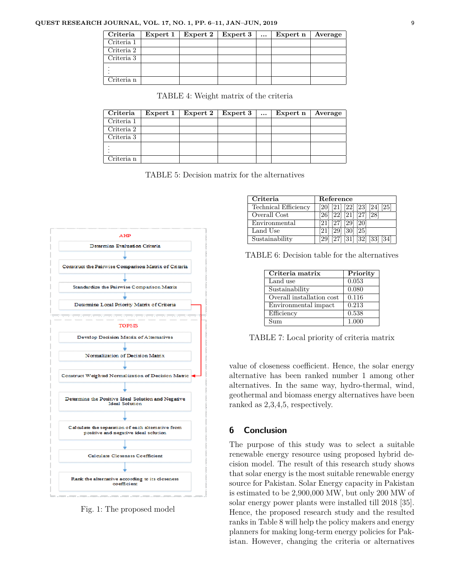### **QUEST RESEARCH JOURNAL, VOL. 17, NO. 1, PP. 6–11, JAN–JUN, 2019** 9

| Criteria   | Expert 1 | Expert $2 \mid$ | Expert 3 | $\cdots$ | Expert n | Average |
|------------|----------|-----------------|----------|----------|----------|---------|
| Criteria 1 |          |                 |          |          |          |         |
| Criteria 2 |          |                 |          |          |          |         |
| Criteria 3 |          |                 |          |          |          |         |
|            |          |                 |          |          |          |         |
| Criteria n |          |                 |          |          |          |         |

TABLE 4: Weight matrix of the criteria

| Criteria   | Expert 1 | Expert 2 | Expert 3 | $\cdots$ | Expert n | Average |
|------------|----------|----------|----------|----------|----------|---------|
| Criteria 1 |          |          |          |          |          |         |
| Criteria 2 |          |          |          |          |          |         |
| Criteria 3 |          |          |          |          |          |         |
|            |          |          |          |          |          |         |
| Criteria n |          |          |          |          |          |         |

TABLE 5: Decision matrix for the alternatives



Fig. 1: The proposed model

| Criteria                    | Reference                                                                |
|-----------------------------|--------------------------------------------------------------------------|
| <b>Technical Efficiency</b> | $\boxed{20}\ \boxed{21}\ \boxed{22}\ \boxed{23}\ \boxed{24}\ \boxed{25}$ |
| Overall Cost                | $[26]$ $[22]$ $[21]$ $[27]$ $[28]$                                       |
| Environmental               | $[21]$ $[27]$ $[29]$ $[20]$                                              |
| Land Use                    | $[21]$ $[29]$ $[30]$ $[25]$                                              |
| Sustainability              | $[29]$ $[27]$ $[31]$ $[32]$ $[33]$ $[34]$                                |

TABLE 6: Decision table for the alternatives

| Criteria matrix           | Priority |
|---------------------------|----------|
| Land use                  | 0.053    |
| Sustainability            | 0.080    |
| Overall installation cost | 0.116    |
| Environmental impact      | 0.213    |
| Efficiency                | 0.538    |
| Sum                       | 1.000    |

TABLE 7: Local priority of criteria matrix

value of closeness coefficient. Hence, the solar energy alternative has been ranked number 1 among other alternatives. In the same way, hydro-thermal, wind, geothermal and biomass energy alternatives have been ranked as 2,3,4,5, respectively.

# **6 Conclusion**

The purpose of this study was to select a suitable renewable energy resource using proposed hybrid decision model. The result of this research study shows that solar energy is the most suitable renewable energy source for Pakistan. Solar Energy capacity in Pakistan is estimated to be 2,900,000 MW, but only 200 MW of solar energy power plants were installed till 2018 [35]. Hence, the proposed research study and the resulted ranks in Table 8 will help the policy makers and energy planners for making long-term energy policies for Pakistan. However, changing the criteria or alternatives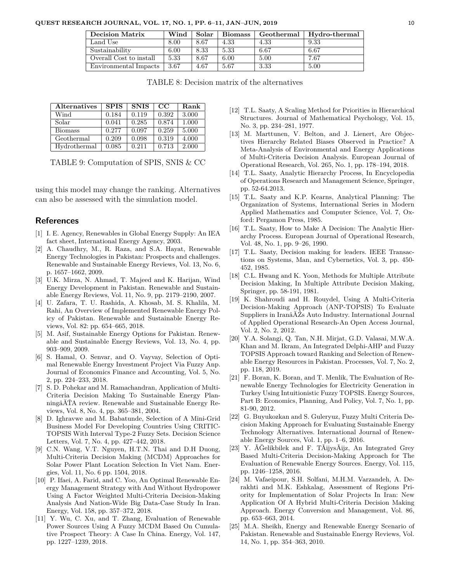| <b>Decision Matrix</b>  | $\operatorname{Wind}$ | Solar | <b>Biomass</b> | Geothermal | Hydro-thermal |
|-------------------------|-----------------------|-------|----------------|------------|---------------|
| Land Use                | 8.00                  | 8.67  | 4.33           | 4.33       | 9.33          |
| Sustainability          | 6.00                  | 8.33  | 5.33           | 6.67       | 6.67          |
| Overall Cost to install | 5.33                  | 8.67  | 6.00           | 5.00       | 7.67          |
| Environmental Impacts   | 3.67                  | 4.67  | 5.67           | 3.33       | 5.00          |

TABLE 8: Decision matrix of the alternatives

| <b>Alternatives</b> | <b>SPIS</b> | <b>SNIS</b> | $_{\rm CC}$ | Rank  |
|---------------------|-------------|-------------|-------------|-------|
| Wind                | 0.184       | 0.119       | 0.392       | 3.000 |
| Solar               | 0.041       | 0.285       | 0.874       | 1.000 |
| <b>Biomass</b>      | 0.277       | 0.097       | 0.259       | 5.000 |
| Geothermal          | 0.209       | 0.098       | 0.319       | 4.000 |
| Hydrothermal        | 0.085       | 0.211       | 0.713       | 2.000 |

TABLE 9: Computation of SPIS, SNIS & CC

using this model may change the ranking. Alternatives can also be assessed with the simulation model.

### **References**

- [1] I. E. Agency, Renewables in Global Energy Supply: An IEA fact sheet, International Energy Agency, 2003.
- [2] A. Chaudhry, M., R. Raza, and S.A. Hayat, Renewable Energy Technologies in Pakistan: Prospects and challenges. Renewable and Sustainable Energy Reviews, Vol. 13, No. 6, p. 1657–1662, 2009.
- [3] U.K. Mirza, N. Ahmad, T. Majeed and K. Harijan, Wind Energy Development in Pakistan. Renewable and Sustainable Energy Reviews, Vol. 11, No. 9, pp. 2179–2190, 2007.
- [4] U. Zafara, T. U. Rashida, A. Khosab, M. S. Khalila, M. Rahi, An Overview of Implemented Renewable Energy Policy of Pakistan. Renewable and Sustainable Energy Reviews, Vol. 82: pp. 654–665, 2018.
- [5] M. Asif, Sustainable Energy Options for Pakistan. Renewable and Sustainable Energy Reviews, Vol. 13, No. 4, pp. 903–909, 2009.
- [6] S. Hamal, O. Senvar, and O. Vayvay, Selection of Optimal Renewable Energy Investment Project Via Fuzzy Anp. Journal of Economics Finance and Accounting, Vol. 5, No. 2, pp. 224–233, 2018.
- [7] S. D. Pohekar and M. Ramachandran, Application of Multi-Criteria Decision Making To Sustainable Energy PlanningâĂŤA review. Renewable and Sustainable Energy Reviews, Vol. 8, No. 4, pp. 365–381, 2004.
- [8] D. Ighravwe and M. Babatunde, Selection of A Mini-Grid Business Model For Developing Countries Using CRITIC-TOPSIS With Interval Type-2 Fuzzy Sets. Decision Science Letters, Vol. 7, No. 4, pp. 427–442, 2018.
- [9] C.N. Wang, V.T. Nguyen, H.T.N. Thai and D.H Duong, Multi-Criteria Decision Making (MCDM) Approaches for Solar Power Plant Location Selection In Viet Nam. Energies, Vol. 11, No. 6 pp. 1504, 2018.
- [10] P. Ifaei, A. Farid, and C. Yoo, An Optimal Renewable Energy Management Strategy with And Without Hydropower Using A Factor Weighted Multi-Criteria Decision-Making Analysis And Nation-Wide Big Data-Case Study In Iran. Energy, Vol. 158, pp. 357–372, 2018.
- [11] Y. Wu, C. Xu, and T. Zhang, Evaluation of Renewable Power Sources Using A Fuzzy MCDM Based On Cumulative Prospect Theory: A Case In China. Energy, Vol. 147, pp. 1227–1239, 2018.
- [12] T.L. Saaty, A Scaling Method for Priorities in Hierarchical Structures. Journal of Mathematical Psychology, Vol. 15, No. 3, pp. 234–281, 1977.
- [13] M. Marttunen, V. Belton, and J. Lienert, Are Objectives Hierarchy Related Biases Observed in Practice? A Meta-Analysis of Environmental and Energy Applications of Multi-Criteria Decision Analysis. European Journal of Operational Research, Vol. 265, No. 1, pp. 178–194, 2018.
- [14] T.L. Saaty, Analytic Hierarchy Process, In Encyclopedia of Operations Research and Management Science, Springer, pp. 52-64.2013.
- [15] T.L. Saaty and K.P. Kearns, Analytical Planning: The Organization of Systems, International Series in Modern Applied Mathematics and Computer Science, Vol. 7, Oxford: Pergamon Press, 1985.
- [16] T.L. Saaty, How to Make A Decision: The Analytic Hierarchy Process. European Journal of Operational Research, Vol. 48, No. 1, pp. 9–26, 1990.
- [17] T.L. Saaty, Decision making for leaders. IEEE Transactions on Systems, Man, and Cybernetics, Vol. 3, pp. 450- 452, 1985.
- [18] C.L. Hwang and K. Yoon, Methods for Multiple Attribute Decision Making, In Multiple Attribute Decision Making, Springer, pp. 58-191, 1981.
- [19] K. Shahroudi and H. Rouydel, Using A Multi-Criteria Decision-Making Approach (ANP-TOPSIS) To Evaluate Suppliers in IranâĂŹs Auto Industry. International Journal of Applied Operational Research-An Open Access Journal, Vol. 2, No. 2, 2012.
- [20] Y.A. Solangi, Q. Tan, N.H. Mirjat, G.D. Valasai, M.W.A. Khan and M. Ikram, An Integrated Delphi-AHP and Fuzzy TOPSIS Approach toward Ranking and Selection of Renewable Energy Resources in Pakistan. Processes, Vol. 7, No. 2, pp. 118, 2019.
- [21] F. Boran, K. Boran, and T. Menlik, The Evaluation of Renewable Energy Technologies for Electricity Generation in Turkey Using Intuitionistic Fuzzy TOPSIS. Energy Sources, Part B: Economics, Planning, And Policy, Vol. 7, No. 1, pp. 81-90, 2012.
- [22] G. Buyukozkan and S. Guleryuz, Fuzzy Multi Criteria Decision Making Approach for Evaluating Sustainable Energy Technology Alternatives. International Journal of Renewable Energy Sources, Vol. 1, pp. 1–6, 2016.
- [23] Y. ÃĞelikbilek and F. TÃijysÃijz, An Integrated Grey Based Multi-Criteria Decision-Making Approach for The Evaluation of Renewable Energy Sources. Energy, Vol. 115, pp. 1246–1258, 2016.
- [24] M. Vafaeipour, S.H. Solfani, M.H.M. Varzandeh, A. Derakhti and M.K. Eshkalag, Assessment of Regions Priority for Implementation of Solar Projects In Iran: New Application Of A Hybrid Multi-Criteria Decision Making Approach. Energy Conversion and Management, Vol. 86, pp. 653–663, 2014.
- [25] M.A. Sheikh, Energy and Renewable Energy Scenario of Pakistan. Renewable and Sustainable Energy Reviews, Vol. 14, No. 1, pp. 354–363, 2010.